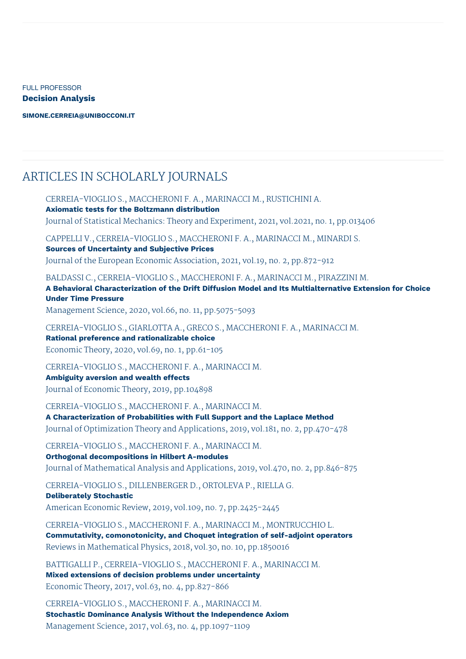FULL PROFESSOR **Decision Analysis**

**[SIMONE.CERREIA@UNIBOCCONI.IT](mailto:simone.cerreia@unibocconi.it)**

## ARTICLES IN SCHOLARLY JOURNALS

CERREIA-VIOGLIO S., MACCHERONI F. A., MARINACCI M., RUSTICHINI A. **Axiomatic tests for the Boltzmann distribution** Journal of Statistical Mechanics: Theory and Experiment, 2021, vol.2021, no. 1, pp.013406 CAPPELLI V., CERREIA-VIOGLIO S., MACCHERONI F. A., MARINACCI M., MINARDI S. **Sources of Uncertainty and Subjective Prices** Journal of the European Economic Association, 2021, vol.19, no. 2, pp.872-912 BALDASSI C., CERREIA-VIOGLIO S., MACCHERONI F. A., MARINACCI M., PIRAZZINI M. **A Behavioral Characterization of the Drift Diffusion Model and Its Multialternative Extension for Choice Under Time Pressure** Management Science, 2020, vol.66, no. 11, pp.5075-5093 CERREIA-VIOGLIO S., GIARLOTTA A., GRECO S., MACCHERONI F. A., MARINACCI M. **Rational preference and rationalizable choice** Economic Theory, 2020, vol.69, no. 1, pp.61-105 CERREIA-VIOGLIO S., MACCHERONI F. A., MARINACCI M. **Ambiguity aversion and wealth effects** Journal of Economic Theory, 2019, pp.104898 CERREIA-VIOGLIO S., MACCHERONI F. A., MARINACCI M. **A Characterization of Probabilities with Full Support and the Laplace Method** Journal of Optimization Theory and Applications, 2019, vol.181, no. 2, pp.470-478 CERREIA-VIOGLIO S., MACCHERONI F. A., MARINACCI M. **Orthogonal decompositions in Hilbert A-modules** Journal of Mathematical Analysis and Applications, 2019, vol.470, no. 2, pp.846-875 CERREIA-VIOGLIO S., DILLENBERGER D., ORTOLEVA P., RIELLA G. **Deliberately Stochastic** American Economic Review, 2019, vol.109, no. 7, pp.2425-2445 CERREIA-VIOGLIO S., MACCHERONI F. A., MARINACCI M., MONTRUCCHIO L. **Commutativity, comonotonicity, and Choquet integration of self-adjoint operators** Reviews in Mathematical Physics, 2018, vol.30, no. 10, pp.1850016

BATTIGALLI P., CERREIA-VIOGLIO S., MACCHERONI F. A., MARINACCI M. **Mixed extensions of decision problems under uncertainty** Economic Theory, 2017, vol.63, no. 4, pp.827-866

CERREIA-VIOGLIO S., MACCHERONI F. A., MARINACCI M. **Stochastic Dominance Analysis Without the Independence Axiom** Management Science, 2017, vol.63, no. 4, pp.1097-1109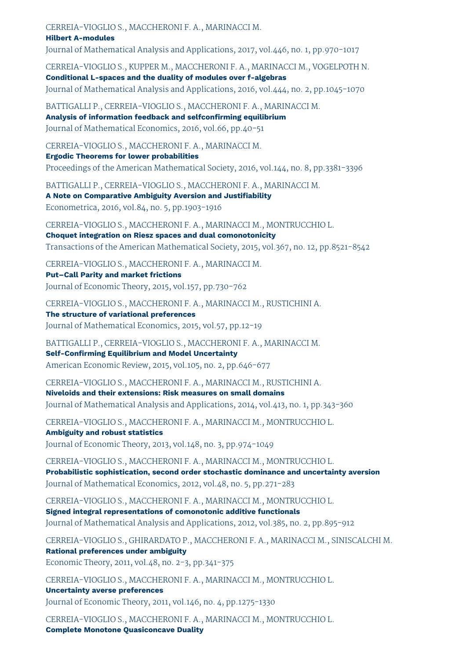CERREIA-VIOGLIO S., MACCHERONI F. A., MARINACCI M.

## **Hilbert A-modules**

Journal of Mathematical Analysis and Applications, 2017, vol.446, no. 1, pp.970-1017

CERREIA-VIOGLIO S., KUPPER M., MACCHERONI F. A., MARINACCI M., VOGELPOTH N. **Conditional L-spaces and the duality of modules over f-algebras** Journal of Mathematical Analysis and Applications, 2016, vol.444, no. 2, pp.1045-1070

BATTIGALLI P., CERREIA-VIOGLIO S., MACCHERONI F. A., MARINACCI M. **Analysis of information feedback and selfconfirming equilibrium** Journal of Mathematical Economics, 2016, vol.66, pp.40-51

CERREIA-VIOGLIO S., MACCHERONI F. A., MARINACCI M.

**Ergodic Theorems for lower probabilities**

Proceedings of the American Mathematical Society, 2016, vol.144, no. 8, pp.3381-3396

BATTIGALLI P., CERREIA-VIOGLIO S., MACCHERONI F. A., MARINACCI M.

**A Note on Comparative Ambiguity Aversion and Justifiability** Econometrica, 2016, vol.84, no. 5, pp.1903-1916

CERREIA-VIOGLIO S., MACCHERONI F. A., MARINACCI M., MONTRUCCHIO L. **Choquet integration on Riesz spaces and dual comonotonicity** Transactions of the American Mathematical Society, 2015, vol.367, no. 12, pp.8521-8542

CERREIA-VIOGLIO S., MACCHERONI F. A., MARINACCI M.

**Put–Call Parity and market frictions** Journal of Economic Theory, 2015, vol.157, pp.730-762

CERREIA-VIOGLIO S., MACCHERONI F. A., MARINACCI M., RUSTICHINI A.

**The structure of variational preferences** Journal of Mathematical Economics, 2015, vol.57, pp.12-19

BATTIGALLI P., CERREIA-VIOGLIO S., MACCHERONI F. A., MARINACCI M. **Self-Confirming Equilibrium and Model Uncertainty** American Economic Review, 2015, vol.105, no. 2, pp.646-677

CERREIA-VIOGLIO S., MACCHERONI F. A., MARINACCI M., RUSTICHINI A. **Niveloids and their extensions: Risk measures on small domains** Journal of Mathematical Analysis and Applications, 2014, vol.413, no. 1, pp.343-360

CERREIA-VIOGLIO S., MACCHERONI F. A., MARINACCI M., MONTRUCCHIO L.

**Ambiguity and robust statistics** Journal of Economic Theory, 2013, vol.148, no. 3, pp.974-1049

CERREIA-VIOGLIO S., MACCHERONI F. A., MARINACCI M., MONTRUCCHIO L. **Probabilistic sophistication, second order stochastic dominance and uncertainty aversion** Journal of Mathematical Economics, 2012, vol.48, no. 5, pp.271-283

CERREIA-VIOGLIO S., MACCHERONI F. A., MARINACCI M., MONTRUCCHIO L. **Signed integral representations of comonotonic additive functionals** Journal of Mathematical Analysis and Applications, 2012, vol.385, no. 2, pp.895-912

CERREIA-VIOGLIO S., GHIRARDATO P., MACCHERONI F. A., MARINACCI M., SINISCALCHI M. **Rational preferences under ambiguity**

Economic Theory, 2011, vol.48, no. 2-3, pp.341-375

CERREIA-VIOGLIO S., MACCHERONI F. A., MARINACCI M., MONTRUCCHIO L.

**Uncertainty averse preferences** Journal of Economic Theory, 2011, vol.146, no. 4, pp.1275-1330

CERREIA-VIOGLIO S., MACCHERONI F. A., MARINACCI M., MONTRUCCHIO L. **Complete Monotone Quasiconcave Duality**